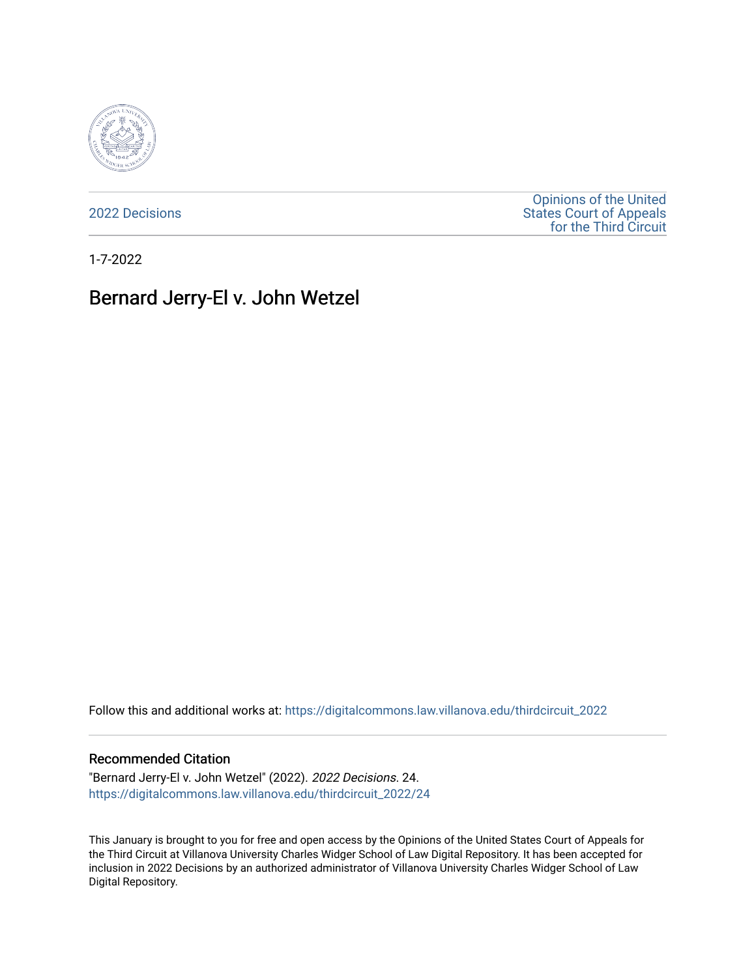

[2022 Decisions](https://digitalcommons.law.villanova.edu/thirdcircuit_2022)

[Opinions of the United](https://digitalcommons.law.villanova.edu/thirdcircuit)  [States Court of Appeals](https://digitalcommons.law.villanova.edu/thirdcircuit)  [for the Third Circuit](https://digitalcommons.law.villanova.edu/thirdcircuit) 

1-7-2022

# Bernard Jerry-El v. John Wetzel

Follow this and additional works at: [https://digitalcommons.law.villanova.edu/thirdcircuit\\_2022](https://digitalcommons.law.villanova.edu/thirdcircuit_2022?utm_source=digitalcommons.law.villanova.edu%2Fthirdcircuit_2022%2F24&utm_medium=PDF&utm_campaign=PDFCoverPages) 

#### Recommended Citation

"Bernard Jerry-El v. John Wetzel" (2022). 2022 Decisions. 24. [https://digitalcommons.law.villanova.edu/thirdcircuit\\_2022/24](https://digitalcommons.law.villanova.edu/thirdcircuit_2022/24?utm_source=digitalcommons.law.villanova.edu%2Fthirdcircuit_2022%2F24&utm_medium=PDF&utm_campaign=PDFCoverPages)

This January is brought to you for free and open access by the Opinions of the United States Court of Appeals for the Third Circuit at Villanova University Charles Widger School of Law Digital Repository. It has been accepted for inclusion in 2022 Decisions by an authorized administrator of Villanova University Charles Widger School of Law Digital Repository.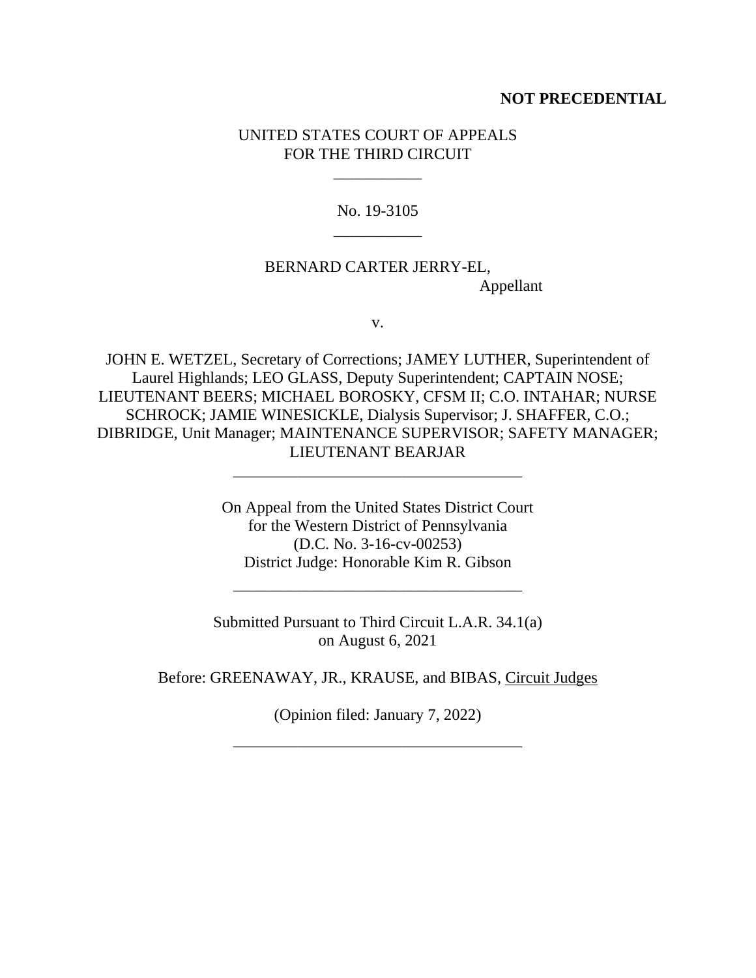#### **NOT PRECEDENTIAL**

#### UNITED STATES COURT OF APPEALS FOR THE THIRD CIRCUIT

\_\_\_\_\_\_\_\_\_\_\_

No. 19-3105 \_\_\_\_\_\_\_\_\_\_\_

# BERNARD CARTER JERRY-EL, Appellant

v.

JOHN E. WETZEL, Secretary of Corrections; JAMEY LUTHER, Superintendent of Laurel Highlands; LEO GLASS, Deputy Superintendent; CAPTAIN NOSE; LIEUTENANT BEERS; MICHAEL BOROSKY, CFSM II; C.O. INTAHAR; NURSE SCHROCK; JAMIE WINESICKLE, Dialysis Supervisor; J. SHAFFER, C.O.; DIBRIDGE, Unit Manager; MAINTENANCE SUPERVISOR; SAFETY MANAGER; LIEUTENANT BEARJAR

\_\_\_\_\_\_\_\_\_\_\_\_\_\_\_\_\_\_\_\_\_\_\_\_\_\_\_\_\_\_\_\_\_\_\_\_

On Appeal from the United States District Court for the Western District of Pennsylvania (D.C. No. 3-16-cv-00253) District Judge: Honorable Kim R. Gibson

Submitted Pursuant to Third Circuit L.A.R. 34.1(a) on August 6, 2021

\_\_\_\_\_\_\_\_\_\_\_\_\_\_\_\_\_\_\_\_\_\_\_\_\_\_\_\_\_\_\_\_\_\_\_\_

Before: GREENAWAY, JR., KRAUSE, and BIBAS, Circuit Judges

(Opinion filed: January 7, 2022)

\_\_\_\_\_\_\_\_\_\_\_\_\_\_\_\_\_\_\_\_\_\_\_\_\_\_\_\_\_\_\_\_\_\_\_\_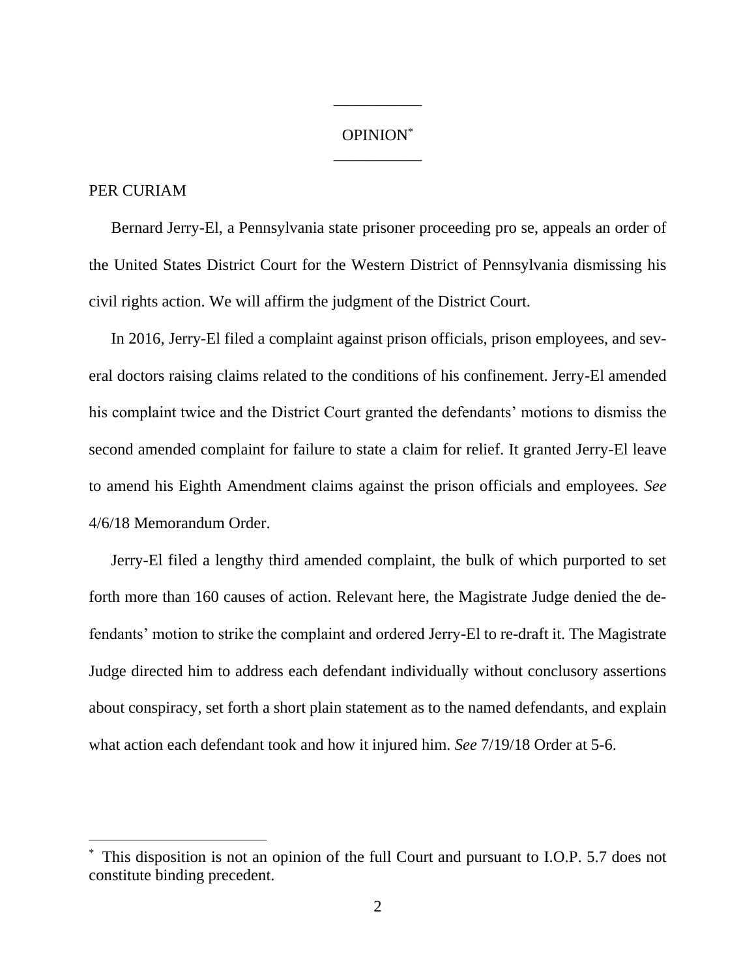# OPINION\* \_\_\_\_\_\_\_\_\_\_\_

\_\_\_\_\_\_\_\_\_\_\_

### PER CURIAM

Bernard Jerry-El, a Pennsylvania state prisoner proceeding pro se, appeals an order of the United States District Court for the Western District of Pennsylvania dismissing his civil rights action. We will affirm the judgment of the District Court.

In 2016, Jerry-El filed a complaint against prison officials, prison employees, and several doctors raising claims related to the conditions of his confinement. Jerry-El amended his complaint twice and the District Court granted the defendants' motions to dismiss the second amended complaint for failure to state a claim for relief. It granted Jerry-El leave to amend his Eighth Amendment claims against the prison officials and employees. *See* 4/6/18 Memorandum Order.

Jerry-El filed a lengthy third amended complaint, the bulk of which purported to set forth more than 160 causes of action. Relevant here, the Magistrate Judge denied the defendants' motion to strike the complaint and ordered Jerry-El to re-draft it. The Magistrate Judge directed him to address each defendant individually without conclusory assertions about conspiracy, set forth a short plain statement as to the named defendants, and explain what action each defendant took and how it injured him. *See* 7/19/18 Order at 5-6.

This disposition is not an opinion of the full Court and pursuant to I.O.P. 5.7 does not constitute binding precedent.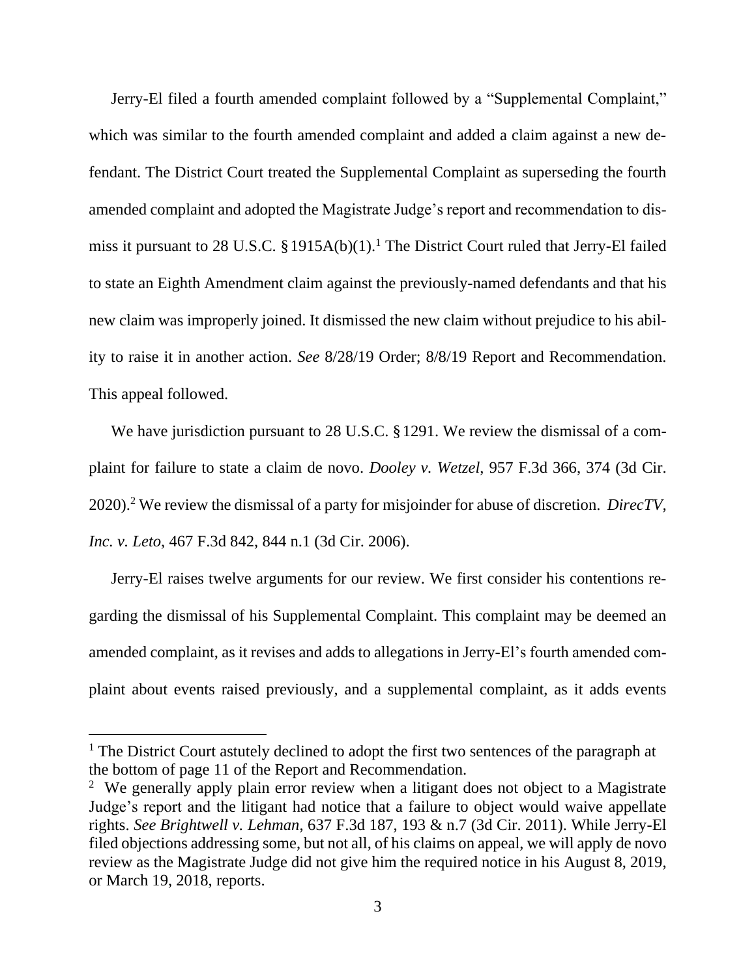Jerry-El filed a fourth amended complaint followed by a "Supplemental Complaint," which was similar to the fourth amended complaint and added a claim against a new defendant. The District Court treated the Supplemental Complaint as superseding the fourth amended complaint and adopted the Magistrate Judge's report and recommendation to dismiss it pursuant to 28 U.S.C. § 1915A(b)(1).<sup>1</sup> The District Court ruled that Jerry-El failed to state an Eighth Amendment claim against the previously-named defendants and that his new claim was improperly joined. It dismissed the new claim without prejudice to his ability to raise it in another action. *See* 8/28/19 Order; 8/8/19 Report and Recommendation. This appeal followed.

We have jurisdiction pursuant to 28 U.S.C. §1291. We review the dismissal of a complaint for failure to state a claim de novo. *Dooley v. Wetzel*, 957 F.3d 366, 374 (3d Cir. 2020).<sup>2</sup> We review the dismissal of a party for misjoinder for abuse of discretion. *DirecTV, Inc. v. Leto*, 467 F.3d 842, 844 n.1 (3d Cir. 2006).

Jerry-El raises twelve arguments for our review. We first consider his contentions regarding the dismissal of his Supplemental Complaint. This complaint may be deemed an amended complaint, as it revises and adds to allegations in Jerry-El's fourth amended complaint about events raised previously, and a supplemental complaint, as it adds events

<sup>&</sup>lt;sup>1</sup> The District Court astutely declined to adopt the first two sentences of the paragraph at the bottom of page 11 of the Report and Recommendation.

<sup>&</sup>lt;sup>2</sup> We generally apply plain error review when a litigant does not object to a Magistrate Judge's report and the litigant had notice that a failure to object would waive appellate rights. *See Brightwell v. Lehman*, 637 F.3d 187, 193 & n.7 (3d Cir. 2011). While Jerry-El filed objections addressing some, but not all, of his claims on appeal, we will apply de novo review as the Magistrate Judge did not give him the required notice in his August 8, 2019, or March 19, 2018, reports.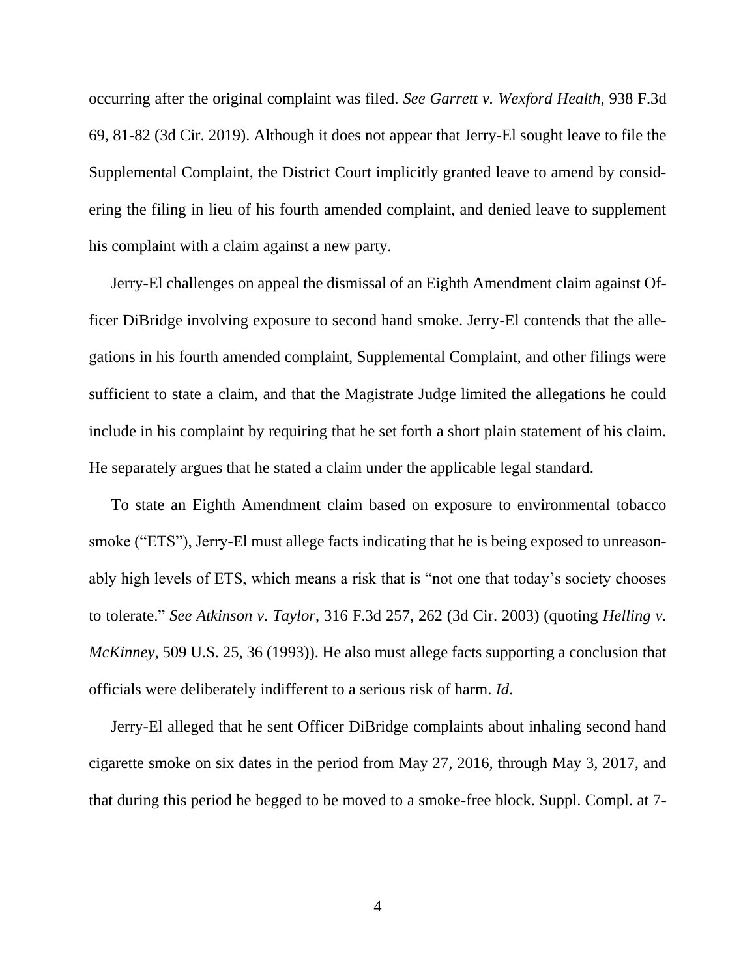occurring after the original complaint was filed. *See Garrett v. Wexford Health*, 938 F.3d 69, 81-82 (3d Cir. 2019). Although it does not appear that Jerry-El sought leave to file the Supplemental Complaint, the District Court implicitly granted leave to amend by considering the filing in lieu of his fourth amended complaint, and denied leave to supplement his complaint with a claim against a new party.

Jerry-El challenges on appeal the dismissal of an Eighth Amendment claim against Officer DiBridge involving exposure to second hand smoke. Jerry-El contends that the allegations in his fourth amended complaint, Supplemental Complaint, and other filings were sufficient to state a claim, and that the Magistrate Judge limited the allegations he could include in his complaint by requiring that he set forth a short plain statement of his claim. He separately argues that he stated a claim under the applicable legal standard.

To state an Eighth Amendment claim based on exposure to environmental tobacco smoke ("ETS"), Jerry-El must allege facts indicating that he is being exposed to unreasonably high levels of ETS, which means a risk that is "not one that today's society chooses to tolerate." *See Atkinson v. Taylor*, 316 F.3d 257, 262 (3d Cir. 2003) (quoting *Helling v. McKinney*, 509 U.S. 25, 36 (1993)). He also must allege facts supporting a conclusion that officials were deliberately indifferent to a serious risk of harm. *Id*.

Jerry-El alleged that he sent Officer DiBridge complaints about inhaling second hand cigarette smoke on six dates in the period from May 27, 2016, through May 3, 2017, and that during this period he begged to be moved to a smoke-free block. Suppl. Compl. at 7-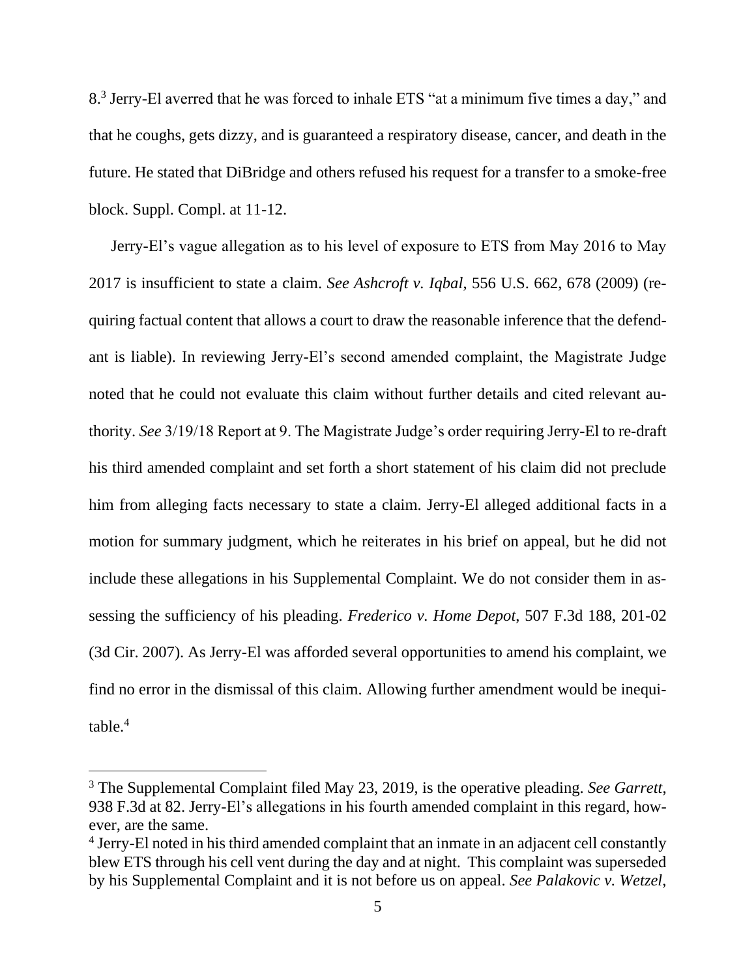8.<sup>3</sup> Jerry-El averred that he was forced to inhale ETS "at a minimum five times a day," and that he coughs, gets dizzy, and is guaranteed a respiratory disease, cancer, and death in the future. He stated that DiBridge and others refused his request for a transfer to a smoke-free block. Suppl. Compl. at 11-12.

Jerry-El's vague allegation as to his level of exposure to ETS from May 2016 to May 2017 is insufficient to state a claim. *See Ashcroft v. Iqbal*, 556 U.S. 662, 678 (2009) (requiring factual content that allows a court to draw the reasonable inference that the defendant is liable). In reviewing Jerry-El's second amended complaint, the Magistrate Judge noted that he could not evaluate this claim without further details and cited relevant authority. *See* 3/19/18 Report at 9. The Magistrate Judge's order requiring Jerry-El to re-draft his third amended complaint and set forth a short statement of his claim did not preclude him from alleging facts necessary to state a claim. Jerry-El alleged additional facts in a motion for summary judgment, which he reiterates in his brief on appeal, but he did not include these allegations in his Supplemental Complaint. We do not consider them in assessing the sufficiency of his pleading. *Frederico v. Home Depot*, 507 F.3d 188, 201-02 (3d Cir. 2007). As Jerry-El was afforded several opportunities to amend his complaint, we find no error in the dismissal of this claim. Allowing further amendment would be inequitable.<sup>4</sup>

<sup>3</sup> The Supplemental Complaint filed May 23, 2019, is the operative pleading. *See Garrett*, 938 F.3d at 82. Jerry-El's allegations in his fourth amended complaint in this regard, however, are the same.

<sup>&</sup>lt;sup>4</sup> Jerry-El noted in his third amended complaint that an inmate in an adjacent cell constantly blew ETS through his cell vent during the day and at night. This complaint was superseded by his Supplemental Complaint and it is not before us on appeal. *See Palakovic v. Wetzel*,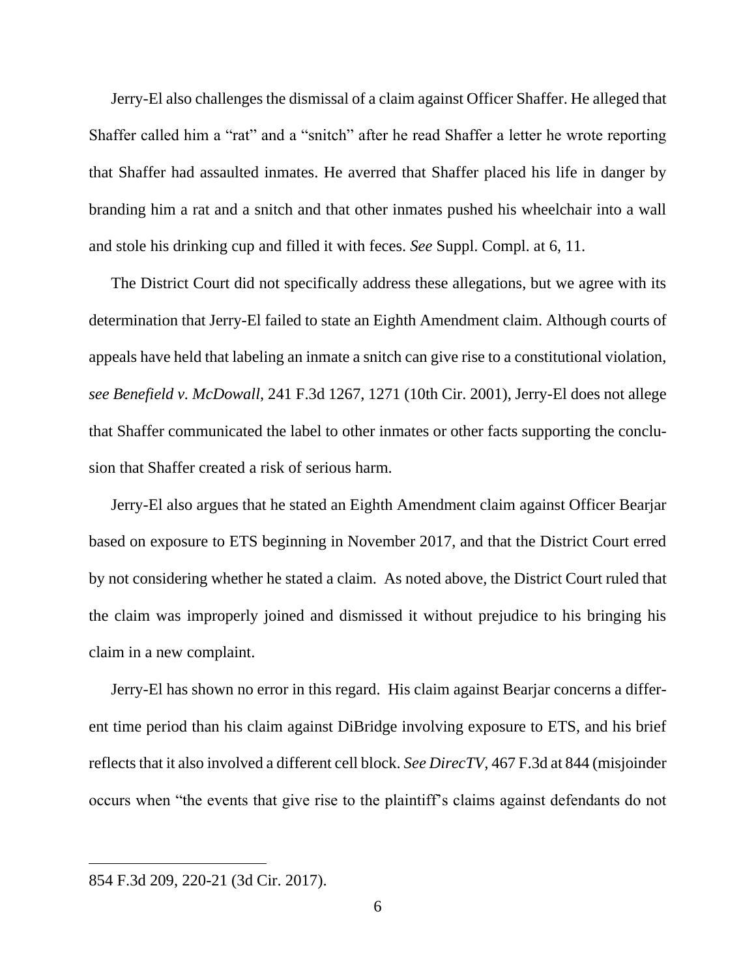Jerry-El also challenges the dismissal of a claim against Officer Shaffer. He alleged that Shaffer called him a "rat" and a "snitch" after he read Shaffer a letter he wrote reporting that Shaffer had assaulted inmates. He averred that Shaffer placed his life in danger by branding him a rat and a snitch and that other inmates pushed his wheelchair into a wall and stole his drinking cup and filled it with feces. *See* Suppl. Compl. at 6, 11.

The District Court did not specifically address these allegations, but we agree with its determination that Jerry-El failed to state an Eighth Amendment claim. Although courts of appeals have held that labeling an inmate a snitch can give rise to a constitutional violation, *see Benefield v. McDowall*, 241 F.3d 1267, 1271 (10th Cir. 2001), Jerry-El does not allege that Shaffer communicated the label to other inmates or other facts supporting the conclusion that Shaffer created a risk of serious harm.

Jerry-El also argues that he stated an Eighth Amendment claim against Officer Bearjar based on exposure to ETS beginning in November 2017, and that the District Court erred by not considering whether he stated a claim. As noted above, the District Court ruled that the claim was improperly joined and dismissed it without prejudice to his bringing his claim in a new complaint.

Jerry-El has shown no error in this regard. His claim against Bearjar concerns a different time period than his claim against DiBridge involving exposure to ETS, and his brief reflects that it also involved a different cell block. *See DirecTV*, 467 F.3d at 844 (misjoinder occurs when "the events that give rise to the plaintiff's claims against defendants do not

<sup>854</sup> F.3d 209, 220-21 (3d Cir. 2017).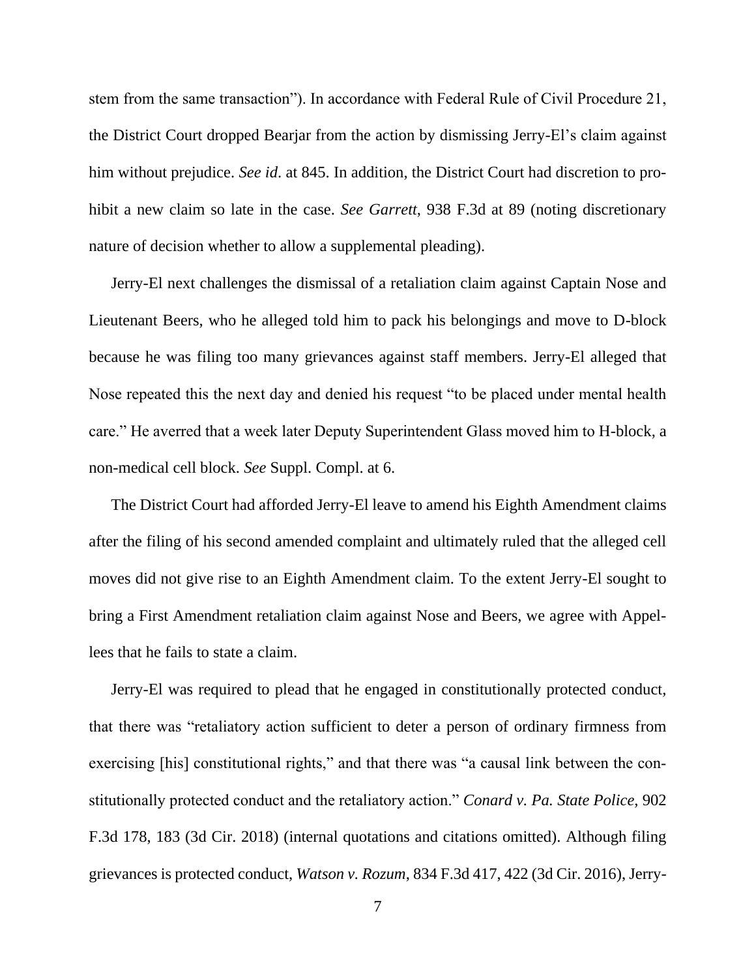stem from the same transaction"). In accordance with Federal Rule of Civil Procedure 21, the District Court dropped Bearjar from the action by dismissing Jerry-El's claim against him without prejudice. *See id*. at 845. In addition, the District Court had discretion to prohibit a new claim so late in the case. *See Garrett*, 938 F.3d at 89 (noting discretionary nature of decision whether to allow a supplemental pleading).

Jerry-El next challenges the dismissal of a retaliation claim against Captain Nose and Lieutenant Beers, who he alleged told him to pack his belongings and move to D-block because he was filing too many grievances against staff members. Jerry-El alleged that Nose repeated this the next day and denied his request "to be placed under mental health care." He averred that a week later Deputy Superintendent Glass moved him to H-block, a non-medical cell block. *See* Suppl. Compl. at 6.

The District Court had afforded Jerry-El leave to amend his Eighth Amendment claims after the filing of his second amended complaint and ultimately ruled that the alleged cell moves did not give rise to an Eighth Amendment claim. To the extent Jerry-El sought to bring a First Amendment retaliation claim against Nose and Beers, we agree with Appellees that he fails to state a claim.

Jerry-El was required to plead that he engaged in constitutionally protected conduct, that there was "retaliatory action sufficient to deter a person of ordinary firmness from exercising [his] constitutional rights," and that there was "a causal link between the constitutionally protected conduct and the retaliatory action." *Conard v. Pa. State Police*, 902 F.3d 178, 183 (3d Cir. 2018) (internal quotations and citations omitted). Although filing grievances is protected conduct, *Watson v. Rozum*, 834 F.3d 417, 422 (3d Cir. 2016), Jerry